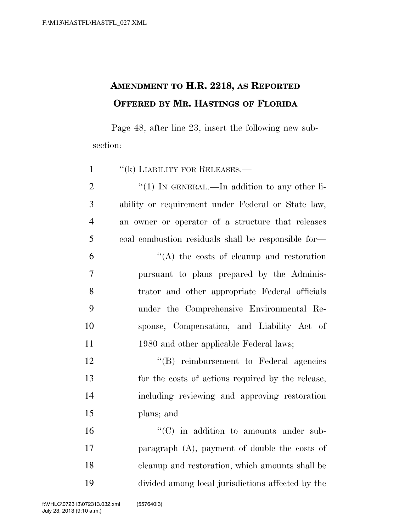## **AMENDMENT TO H.R. 2218, AS REPORTED OFFERED BY MR. HASTINGS OF FLORIDA**

Page 48, after line 23, insert the following new subsection:

| $\mathbf{1}$   | $``$ (k) LIABILITY FOR RELEASES.—                   |
|----------------|-----------------------------------------------------|
| $\overline{2}$ | "(1) IN GENERAL.—In addition to any other li-       |
| 3              | ability or requirement under Federal or State law,  |
| $\overline{4}$ | an owner or operator of a structure that releases   |
| 5              | coal combustion residuals shall be responsible for- |
| 6              | $\lq\lq$ the costs of cleanup and restoration       |
| 7              | pursuant to plans prepared by the Adminis-          |
| 8              | trator and other appropriate Federal officials      |
| 9              | under the Comprehensive Environmental Re-           |
| 10             | sponse, Compensation, and Liability Act of          |
| 11             | 1980 and other applicable Federal laws;             |
| 12             | "(B) reimbursement to Federal agencies              |
| 13             | for the costs of actions required by the release,   |
| 14             | including reviewing and approving restoration       |
| 15             | plans; and                                          |
| 16             | $\lq\lq$ (C) in addition to amounts under sub-      |
| 17             | paragraph $(A)$ , payment of double the costs of    |
| 18             | eleanup and restoration, which amounts shall be     |
| 19             | divided among local jurisdictions affected by the   |